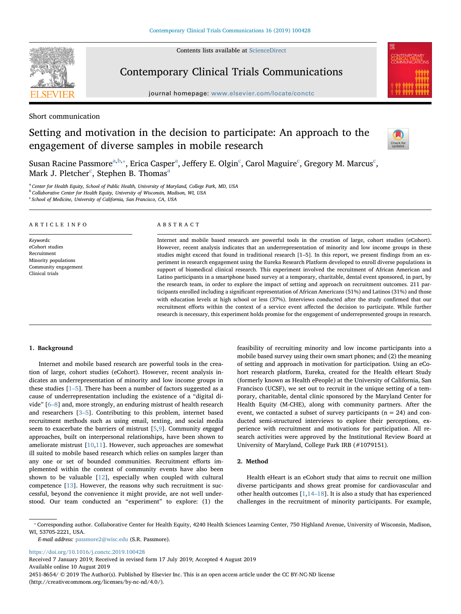Contents lists available at [ScienceDirect](http://www.sciencedirect.com/science/journal/24518654)



## Contemporary Clinical Trials Communications

journal homepage: [www.elsevier.com/locate/conctc](https://www.elsevier.com/locate/conctc)

## Short communication

# Setting and motivation in the decision to participate: An approach to the engagement of diverse samples in mobile research



**NTEMPORAR** 

Sus[a](#page-0-0)n Ra[c](#page-0-3)ine Passmore $^{\rm a,b,*}$  $^{\rm a,b,*}$  $^{\rm a,b,*}$  $^{\rm a,b,*}$ , Erica Casper $^{\rm a}$ , Jeffery E. Olgin $^{\rm c}$ , Carol Maguire $^{\rm c}$ , Gregory M. Marcus $^{\rm c}$ , Mark J. Plet[c](#page-0-3)her $^{\rm c}$ , Stephen B. Thom[a](#page-0-0)s $^{\rm a}$ 

<span id="page-0-0"></span><sup>a</sup> Center for Health Equity, School of Public Health, University of Maryland, College Park, MD, USA

<span id="page-0-1"></span>**b** Collaborative Center for Health Equity, University of Wisconsin, Madison, WI, USA

<span id="page-0-3"></span><sup>c</sup> School of Medicine, University of California, San Francisco, CA, USA

## ARTICLE INFO

Keywords: eCohort studies Recruitment Minority populations Community engagement Clinical trials

#### ABSTRACT

Internet and mobile based research are powerful tools in the creation of large, cohort studies (eCohort). However, recent analysis indicates that an underrepresentation of minority and low income groups in these studies might exceed that found in traditional research [1–5]. In this report, we present findings from an experiment in research engagement using the Eureka Research Platform developed to enroll diverse populations in support of biomedical clinical research. This experiment involved the recruitment of African American and Latino participants in a smartphone based survey at a temporary, charitable, dental event sponsored, in part, by the research team, in order to explore the impact of setting and approach on recruitment outcomes. 211 participants enrolled including a significant representation of African Americans (51%) and Latinos (31%) and those with education levels at high school or less (37%). Interviews conducted after the study confirmed that our recruitment efforts within the context of a service event affected the decision to participate. While further research is necessary, this experiment holds promise for the engagement of underrepresented groups in research.

## 1. Background

Internet and mobile based research are powerful tools in the creation of large, cohort studies (eCohort). However, recent analysis indicates an underrepresentation of minority and low income groups in these studies  $[1–5]$  $[1–5]$ . There has been a number of factors suggested as a cause of underrepresentation including the existence of a "digital divide" [6–[8\]](#page-3-1) and, more strongly, an enduring mistrust of health research and researchers [3–[5\]](#page-3-2). Contributing to this problem, internet based recruitment methods such as using email, texting, and social media seem to exacerbate the barriers of mistrust [\[5,](#page-3-3)[9](#page-3-4)]. Community engaged approaches, built on interpersonal relationships, have been shown to ameliorate mistrust [[10,](#page-3-5)[11\]](#page-3-6). However, such approaches are somewhat ill suited to mobile based research which relies on samples larger than any one or set of bounded communities. Recruitment efforts implemented within the context of community events have also been shown to be valuable [[12\]](#page-3-7), especially when coupled with cultural competence [\[13\]](#page-3-8). However, the reasons why such recruitment is successful, beyond the convenience it might provide, are not well understood. Our team conducted an "experiment" to explore: (1) the feasibility of recruiting minority and low income participants into a mobile based survey using their own smart phones; and (2) the meaning of setting and approach in motivation for participation. Using an eCohort research platform, Eureka, created for the Health eHeart Study (formerly known as Health ePeople) at the University of California, San Francisco (UCSF), we set out to recruit in the unique setting of a temporary, charitable, dental clinic sponsored by the Maryland Center for Health Equity (M-CHE), along with community partners. After the event, we contacted a subset of survey participants ( $n = 24$ ) and conducted semi-structured interviews to explore their perceptions, experience with recruitment and motivations for participation. All research activities were approved by the Institutional Review Board at University of Maryland, College Park IRB (#1079151).

## 2. Method

Health eHeart is an eCohort study that aims to recruit one million diverse participants and shows great promise for cardiovascular and other health outcomes [[1](#page-3-0)[,14](#page-3-9)–18]. It is also a study that has experienced challenges in the recruitment of minority participants. For example,

E-mail address: [passmore2@wisc.edu](mailto:passmore2@wisc.edu) (S.R. Passmore).

<https://doi.org/10.1016/j.conctc.2019.100428>

Received 7 January 2019; Received in revised form 17 July 2019; Accepted 4 August 2019 Available online 10 August 2019

2451-8654/ © 2019 The Author(s). Published by Elsevier Inc. This is an open access article under the CC BY-NC-ND license (http://creativecommons.org/licenses/by-nc-nd/4.0/).

<span id="page-0-2"></span><sup>⁎</sup> Corresponding author. Collaborative Center for Health Equity, 4240 Health Sciences Learning Center, 750 Highland Avenue, University of Wisconsin, Madison, WI, 53705-2221, USA.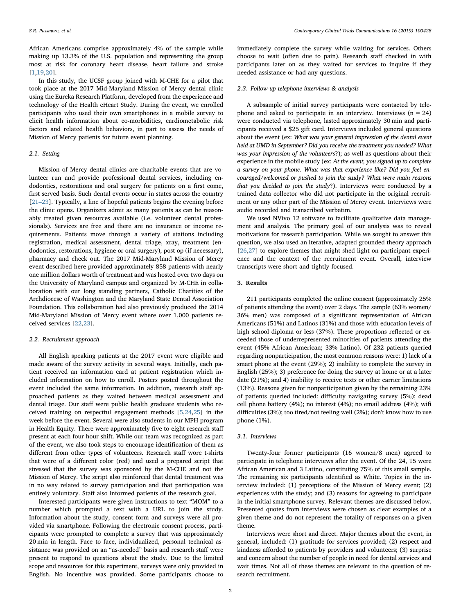African Americans comprise approximately 4% of the sample while making up 13.3% of the U.S. population and representing the group most at risk for coronary heart disease, heart failure and stroke [[1](#page-3-0),[19,](#page-3-10)[20\]](#page-3-11).

In this study, the UCSF group joined with M-CHE for a pilot that took place at the 2017 Mid-Maryland Mission of Mercy dental clinic using the Eureka Research Platform, developed from the experience and technology of the Health eHeart Study. During the event, we enrolled participants who used their own smartphones in a mobile survey to elicit health information about co-morbidities, cardiometabolic risk factors and related health behaviors, in part to assess the needs of Mission of Mercy patients for future event planning.

## 2.1. Setting

Mission of Mercy dental clinics are charitable events that are volunteer run and provide professional dental services, including endodontics, restorations and oral surgery for patients on a first come, first served basis. Such dental events occur in states across the country [21–[23\]](#page-3-12). Typically, a line of hopeful patients begins the evening before the clinic opens. Organizers admit as many patients as can be reasonably treated given resources available (i.e. volunteer dental professionals). Services are free and there are no insurance or income requirements. Patients move through a variety of stations including registration, medical assessment, dental triage, xray, treatment (endodontics, restorations, hygiene or oral surgery), post op (if necessary), pharmacy and check out. The 2017 Mid-Maryland Mission of Mercy event described here provided approximately 858 patients with nearly one million dollars worth of treatment and was hosted over two days on the University of Maryland campus and organized by M-CHE in collaboration with our long standing partners, Catholic Charities of the Archdiocese of Washington and the Maryland State Dental Association Foundation. This collaboration had also previously produced the 2014 Mid-Maryland Mission of Mercy event where over 1,000 patients received services [[22,](#page-3-13)[23\]](#page-3-14).

### 2.2. Recruitment approach

All English speaking patients at the 2017 event were eligible and made aware of the survey activity in several ways. Initially, each patient received an information card at patient registration which included information on how to enroll. Posters posted throughout the event included the same information. In addition, research staff approached patients as they waited between medical assessment and dental triage. Our staff were public health graduate students who received training on respectful engagement methods [\[5,](#page-3-3)[24,](#page-3-15)[25\]](#page-3-16) in the week before the event. Several were also students in our MPH program in Health Equity. There were approximately five to eight research staff present at each four hour shift. While our team was recognized as part of the event, we also took steps to encourage identification of them as different from other types of volunteers. Research staff wore t-shirts that were of a different color (red) and used a prepared script that stressed that the survey was sponsored by the M-CHE and not the Mission of Mercy. The script also reinforced that dental treatment was in no way related to survey participation and that participation was entirely voluntary. Staff also informed patients of the research goal.

Interested participants were given instructions to text "MOM" to a number which prompted a text with a URL to join the study. Information about the study, consent form and surveys were all provided via smartphone. Following the electronic consent process, participants were prompted to complete a survey that was approximately 20 min in length. Face to face, individualized, personal technical assistance was provided on an "as-needed" basis and research staff were present to respond to questions about the study. Due to the limited scope and resources for this experiment, surveys were only provided in English. No incentive was provided. Some participants choose to immediately complete the survey while waiting for services. Others choose to wait (often due to pain). Research staff checked in with participants later on as they waited for services to inquire if they needed assistance or had any questions.

#### 2.3. Follow-up telephone interviews & analysis

A subsample of initial survey participants were contacted by telephone and asked to participate in an interview. Interviews  $(n = 24)$ were conducted via telephone, lasted approximately 30 min and participants received a \$25 gift card. Interviews included general questions about the event (ex: What was your general impression of the dental event held at UMD in September? Did you receive the treatment you needed? What was your impression of the volunteers?); as well as questions about their experience in the mobile study (ex: At the event, you signed up to complete a survey on your phone. What was that experience like? Did you feel encouraged/welcomed or pushed to join the study? What were main reasons that you decided to join the study?). Interviews were conducted by a trained data collector who did not participate in the original recruitment or any other part of the Mission of Mercy event. Interviews were audio recorded and transcribed verbatim.

We used NVivo 12 software to facilitate qualitative data management and analysis. The primary goal of our analysis was to reveal motivations for research participation. While we sought to answer this question, we also used an iterative, adapted grounded theory approach [[26](#page-3-17)[,27](#page-3-18)] to explore themes that might shed light on participant experience and the context of the recruitment event. Overall, interview transcripts were short and tightly focused.

## 3. Results

211 participants completed the online consent (approximately 25% of patients attending the event) over 2 days. The sample (63% women/ 36% men) was composed of a significant representation of African Americans (51%) and Latinos (31%) and those with education levels of high school diploma or less (37%). These proportions reflected or exceeded those of underrepresented minorities of patients attending the event (45% African American; 33% Latino). Of 232 patients queried regarding nonparticipation, the most common reasons were: 1) lack of a smart phone at the event (29%); 2) inability to complete the survey in English (25%); 3) preference for doing the survey at home or at a later date (21%); and 4) inability to receive texts or other carrier limitations (13%). Reasons given for nonparticipation given by the remaining 23% of patients queried included: difficulty navigating survey (5%); dead cell phone battery (4%); no interest (4%); no email address (4%); wifi difficulties (3%); too tired/not feeling well (2%); don't know how to use phone (1%).

## 3.1. Interviews

Twenty-four former participants (16 women/8 men) agreed to participate in telephone interviews after the event. Of the 24, 15 were African American and 3 Latino, constituting 75% of this small sample. The remaining six participants identified as White. Topics in the interview included: (1) perceptions of the Mission of Mercy event; (2) experiences with the study; and (3) reasons for agreeing to participate in the initial smartphone survey. Relevant themes are discussed below. Presented quotes from interviews were chosen as clear examples of a given theme and do not represent the totality of responses on a given theme.

Interviews were short and direct. Major themes about the event, in general, included: (1) gratitude for services provided; (2) respect and kindness afforded to patients by providers and volunteers; (3) surprise and concern about the number of people in need for dental services and wait times. Not all of these themes are relevant to the question of research recruitment.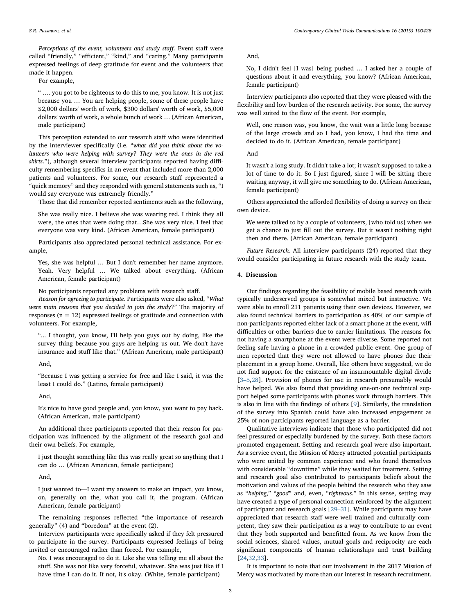Perceptions of the event, volunteers and study staff. Event staff were called "friendly," "efficient," "kind," and "caring." Many participants expressed feelings of deep gratitude for event and the volunteers that made it happen.

For example,

" …. you got to be righteous to do this to me, you know. It is not just because you … You are helping people, some of these people have \$2,000 dollars' worth of work, \$300 dollars' worth of work, \$5,000 dollars' worth of work, a whole bunch of work … (African American, male participant)

This perception extended to our research staff who were identified by the interviewer specifically (i.e. "what did you think about the volunteers who were helping with survey? They were the ones in the red shirts."), although several interview participants reported having difficulty remembering specifics in an event that included more than 2,000 patients and volunteers. For some, our research staff represented a "quick memory" and they responded with general statements such as, "I would say everyone was extremely friendly."

Those that did remember reported sentiments such as the following,

She was really nice. I believe she was wearing red. I think they all were, the ones that were doing that…She was very nice. I feel that everyone was very kind. (African American, female participant)

Participants also appreciated personal technical assistance. For example,

Yes, she was helpful … But I don't remember her name anymore. Yeah. Very helpful … We talked about everything. (African American, female participant)

No participants reported any problems with research staff.

Reason for agreeing to participate. Participants were also asked, "What were main reasons that you decided to join the study?" The majority of responses ( $n = 12$ ) expressed feelings of gratitude and connection with volunteers. For example,

"... I thought, you know, I'll help you guys out by doing, like the survey thing because you guys are helping us out. We don't have insurance and stuff like that." (African American, male participant)

And,

"Because I was getting a service for free and like I said, it was the least I could do." (Latino, female participant)

And,

It's nice to have good people and, you know, you want to pay back. (African American, male participant)

An additional three participants reported that their reason for participation was influenced by the alignment of the research goal and their own beliefs. For example,

I just thought something like this was really great so anything that I can do … (African American, female participant)

And,

I just wanted to—I want my answers to make an impact, you know, on, generally on the, what you call it, the program. (African American, female participant)

The remaining responses reflected "the importance of research generally" (4) and "boredom" at the event (2).

Interview participants were specifically asked if they felt pressured to participate in the survey. Participants expressed feelings of being invited or encouraged rather than forced. For example,

No. I was encouraged to do it. Like she was telling me all about the stuff. She was not like very forceful, whatever. She was just like if I have time I can do it. If not, it's okay. (White, female participant)

And,

No, I didn't feel [I was] being pushed … I asked her a couple of questions about it and everything, you know? (African American, female participant)

Interview participants also reported that they were pleased with the flexibility and low burden of the research activity. For some, the survey was well suited to the flow of the event. For example,

Well, one reason was, you know, the wait was a little long because of the large crowds and so I had, you know, I had the time and decided to do it. (African American, female participant)

And

It wasn't a long study. It didn't take a lot; it wasn't supposed to take a lot of time to do it. So I just figured, since I will be sitting there waiting anyway, it will give me something to do. (African American, female participant)

Others appreciated the afforded flexibility of doing a survey on their own device.

We were talked to by a couple of volunteers, [who told us] when we get a chance to just fill out the survey. But it wasn't nothing right then and there. (African American, female participant)

Future Research. All interview participants (24) reported that they would consider participating in future research with the study team.

#### 4. Discussion

Our findings regarding the feasibility of mobile based research with typically underserved groups is somewhat mixed but instructive. We were able to enroll 211 patients using their own devices. However, we also found technical barriers to participation as 40% of our sample of non-participants reported either lack of a smart phone at the event, wifi difficulties or other barriers due to carrier limitations. The reasons for not having a smartphone at the event were diverse. Some reported not feeling safe having a phone in a crowded public event. One group of men reported that they were not allowed to have phones due their placement in a group home. Overall, like others have suggested, we do not find support for the existence of an insurmountable digital divide [3–[5](#page-3-2)[,28](#page-3-19)]. Provision of phones for use in research presumably would have helped. We also found that providing one-on-one technical support helped some participants with phones work through barriers. This is also in line with the findings of others [[9](#page-3-4)]. Similarly, the translation of the survey into Spanish could have also increased engagement as 25% of non-participants reported language as a barrier.

Qualitative interviews indicate that those who participated did not feel pressured or especially burdened by the survey. Both these factors promoted engagement. Setting and research goal were also important. As a service event, the Mission of Mercy attracted potential participants who were united by common experience and who found themselves with considerable "downtime" while they waited for treatment. Setting and research goal also contributed to participants beliefs about the motivation and values of the people behind the research who they saw as "helping," "good" and, even, "righteous." In this sense, setting may have created a type of personal connection reinforced by the alignment of participant and research goals [\[29](#page-3-20)–31]. While participants may have appreciated that research staff were well trained and culturally competent, they saw their participation as a way to contribute to an event that they both supported and benefitted from. As we know from the social sciences, shared values, mutual goals and reciprocity are each significant components of human relationships and trust building [[24](#page-3-15)[,32](#page-4-0)[,33](#page-4-1)].

It is important to note that our involvement in the 2017 Mission of Mercy was motivated by more than our interest in research recruitment.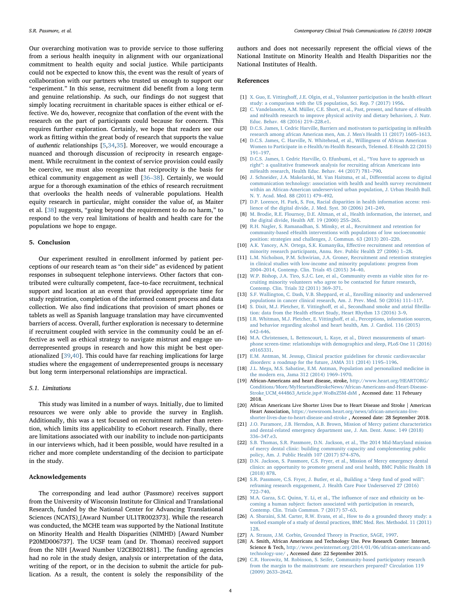Our overarching motivation was to provide service to those suffering from a serious health inequity in alignment with our organizational commitment to health equity and social justice. While participants could not be expected to know this, the event was the result of years of collaboration with our partners who trusted us enough to support our "experiment." In this sense, recruitment did benefit from a long term and genuine relationship. As such, our findings do not suggest that simply locating recruitment in charitable spaces is either ethical or effective. We do, however, recognize that conflation of the event with the research on the part of participants could because for concern. This requires further exploration. Certainly, we hope that readers see our work as fitting within the great body of research that supports the value of authentic relationships [[5](#page-3-3)[,34](#page-4-2),[35\]](#page-4-3). Moreover, we would encourage a nuanced and thorough discussion of reciprocity in research engagement. While recruitment in the context of service provision could easily be coercive, we must also recognize that reciprocity is the basis for ethical community engagement as well [\[36](#page-4-4)–38]. Certainly, we would argue for a thorough examination of the ethics of research recruitment that overlooks the health needs of vulnerable populations. Health equity research in particular, might consider the value of, as Maiter et al. [\[38](#page-4-5)] suggests, "going beyond the requirement to do no harm," to respond to the very real limitations of health and health care for the populations we hope to engage.

## 5. Conclusion

Our experiment resulted in enrollment informed by patient perceptions of our research team as "on their side" as evidenced by patient responses in subsequent telephone interviews. Other factors that contributed were culturally competent, face–to-face recruitment, technical support and location at an event that provided appropriate time for study registration, completion of the informed consent process and data collection. We also find indications that provision of smart phones or tablets as well as Spanish language translation may have circumvented barriers of access. Overall, further exploration is necessary to determine if recruitment coupled with service in the community could be an effective as well as ethical strategy to navigate mistrust and engage underrepresented groups in research and how this might be best operationalized [\[39](#page-4-6)[,40](#page-4-7)]. This could have far reaching implications for large studies where the engagement of underrepresented groups is necessary but long term interpersonal relationships are impractical.

#### 5.1. Limitations

This study was limited in a number of ways. Initially, due to limited resources we were only able to provide the survey in English. Additionally, this was a test focused on recruitment rather than retention, which limits itss applicability to eCohort research. Finally, there are limitations associated with our inability to include non-participants in our interviews which, had it been possible, would have resulted in a richer and more complete understanding of the decision to participate in the study.

## Acknowledgements

The corresponding and lead author (Passmore) receives support from the University of Wisconsin Institute for Clinical and Translational Research, funded by the National Center for Advancing Translational Sciences (NCATS)\_[Award Number UL1TR002373]. While the research was conducted, the MCHE team was supported by the National Institute on Minority Health and Health Disparities (NIMHD) [Award Number P20MD006737]. The UCSF team (and Dr. Thomas) received support from the NIH [Award Number U2CEB021881]. The funding agencies had no role in the study design, analysis or interpretation of the data, writing of the report, or in the decision to submit the article for publication. As a result, the content is solely the responsibility of the

authors and does not necessarily represent the official views of the National Institute on Minority Health and Health Disparities nor the National Institutes of Health.

#### References

- <span id="page-3-0"></span>[1] X. Guo, E. Vittinghoff[, J.E. Olgin, et al., Volunteer participation in the health eHeart](http://refhub.elsevier.com/S2451-8654(19)30190-5/sref1) [study: a comparison with the US population, Sci. Rep. 7 \(2017\) 1956.](http://refhub.elsevier.com/S2451-8654(19)30190-5/sref1)
- [2] [C. Vandelanotte, A.M. Müller, C.E. Short, et al., Past, present, and future of eHealth](http://refhub.elsevier.com/S2451-8654(19)30190-5/sref2) [and mHealth research to improve physical activity and dietary behaviors, J. Nutr.](http://refhub.elsevier.com/S2451-8654(19)30190-5/sref2) [Educ. Behav. 48 \(2016\) 219](http://refhub.elsevier.com/S2451-8654(19)30190-5/sref2)–228.e1.
- <span id="page-3-2"></span>[3] [D.C.S. James, I. Cedric Harville, Barriers and motivators to participating in mHealth](http://refhub.elsevier.com/S2451-8654(19)30190-5/sref3) [research among african American men, Am. J. Men's Health 11 \(2017\) 1605](http://refhub.elsevier.com/S2451-8654(19)30190-5/sref3)–1613.
- [4] [D.C.S. James, C. Harville, N. Whitehead, et al., Willingness of African American](http://refhub.elsevier.com/S2451-8654(19)30190-5/sref4) [Women to Participate in e-Health/m-Health Research, Telemed. E-Health 22 \(2015\)](http://refhub.elsevier.com/S2451-8654(19)30190-5/sref4) 191–[197.](http://refhub.elsevier.com/S2451-8654(19)30190-5/sref4)
- <span id="page-3-3"></span>[5] [D.C.S. James, I. Cedric Harville, O. Efunbumi, et al.,](http://refhub.elsevier.com/S2451-8654(19)30190-5/sref5) "You have to approach us right"[: a qualitative framework analysis for recruiting african Americans into](http://refhub.elsevier.com/S2451-8654(19)30190-5/sref5) [mHealth research, Health Educ. Behav. 44 \(2017\) 781](http://refhub.elsevier.com/S2451-8654(19)30190-5/sref5)–790.
- <span id="page-3-1"></span>[6] [J. Schneider, J.A. Makelarski, M. Van Haitsma, et al., Di](http://refhub.elsevier.com/S2451-8654(19)30190-5/sref6)fferential access to digital [communication technology: association with health and health survey recruitment](http://refhub.elsevier.com/S2451-8654(19)30190-5/sref6) [within an African-American underserviced urban population, J. Urban Health Bull.](http://refhub.elsevier.com/S2451-8654(19)30190-5/sref6) [N. Y. Acad. Med. 88 \(2011\) 479](http://refhub.elsevier.com/S2451-8654(19)30190-5/sref6)–492.
- [7] [D.P. Lorence, H. Park, S. Fox, Racial disparities in health information access: resi](http://refhub.elsevier.com/S2451-8654(19)30190-5/sref7)[lience of the digital divide, J. Med. Syst. 30 \(2006\) 241](http://refhub.elsevier.com/S2451-8654(19)30190-5/sref7)–249.
- [8] [M. Brodie, R.E. Flournoy, D.E. Altman, et al., Health information, the internet, and](http://refhub.elsevier.com/S2451-8654(19)30190-5/sref8) [the digital divide, Health A](http://refhub.elsevier.com/S2451-8654(19)30190-5/sref8)ff. 19 (2000) 255–265.
- <span id="page-3-4"></span>[9] [R.H. Nagler, S. Ramanadhan, S. Minsky, et al., Recruitment and retention for](http://refhub.elsevier.com/S2451-8654(19)30190-5/sref9) [community-based eHealth interventions with populations of low socioeconomic](http://refhub.elsevier.com/S2451-8654(19)30190-5/sref9) [position: strategies and challenges, J. Commun. 63 \(2013\) 201](http://refhub.elsevier.com/S2451-8654(19)30190-5/sref9)–220.
- <span id="page-3-5"></span>[10] [A.K. Yancey, A.N. Ortega, S.K. Kumanyika, E](http://refhub.elsevier.com/S2451-8654(19)30190-5/sref10)ffective recruitment and retention of [minority research participants, Annu. Rev. Public Health 27 \(2006\) 1](http://refhub.elsevier.com/S2451-8654(19)30190-5/sref10)–28.
- <span id="page-3-6"></span>[11] [L.M. Nicholson, P.M. Schwirian, J.A. Groner, Recruitment and retention strategies](http://refhub.elsevier.com/S2451-8654(19)30190-5/sref11) [in clinical studies with low-income and minority populations: progress from](http://refhub.elsevier.com/S2451-8654(19)30190-5/sref11) 2004–[2014, Contemp. Clin. Trials 45 \(2015\) 34](http://refhub.elsevier.com/S2451-8654(19)30190-5/sref11)–40.
- <span id="page-3-7"></span>[12] [W.P. Bishop, J.A. Tiro, S.J.C. Lee, et al., Community events as viable sites for re](http://refhub.elsevier.com/S2451-8654(19)30190-5/sref12)[cruiting minority volunteers who agree to be contacted for future research,](http://refhub.elsevier.com/S2451-8654(19)30190-5/sref12) [Contemp. Clin. Trials 32 \(2011\) 369](http://refhub.elsevier.com/S2451-8654(19)30190-5/sref12)–371.
- <span id="page-3-8"></span>[13] [S.F. Wallington, C. Dash, V.B. Sheppard, et al., Enrolling minority and underserved](http://refhub.elsevier.com/S2451-8654(19)30190-5/sref13) [populations in cancer clinical research, Am. J. Prev. Med. 50 \(2016\) 111](http://refhub.elsevier.com/S2451-8654(19)30190-5/sref13)–117.
- <span id="page-3-9"></span>[14] S. Dixit, M.J. Pletcher, E. Vittinghoff[, et al., Secondhand smoke and atrial](http://refhub.elsevier.com/S2451-8654(19)30190-5/sref14) fibrillation: [data from the Health eHeart Study, Heart Rhythm 13 \(2016\) 3](http://refhub.elsevier.com/S2451-8654(19)30190-5/sref14)–9.
- [15] [I.R. Whitman, M.J. Pletcher, E. Vittingho](http://refhub.elsevier.com/S2451-8654(19)30190-5/sref15)ff, et al., Perceptions, information sources, [and behavior regarding alcohol and heart health, Am. J. Cardiol. 116 \(2015\)](http://refhub.elsevier.com/S2451-8654(19)30190-5/sref15) 642–[646.](http://refhub.elsevier.com/S2451-8654(19)30190-5/sref15)
- [16] [M.A. Christensen, L. Bettencourt, L. Kaye, et al., Direct measurements of smart](http://refhub.elsevier.com/S2451-8654(19)30190-5/sref16)[phone screen-time: relationships with demographics and sleep, PLoS One 11 \(2016\)](http://refhub.elsevier.com/S2451-8654(19)30190-5/sref16) [e0165331.](http://refhub.elsevier.com/S2451-8654(19)30190-5/sref16)
- [17] [E.M. Antman, M. Jessup, Clinical practice guidelines for chronic cardiovascular](http://refhub.elsevier.com/S2451-8654(19)30190-5/sref17) [disorders: a roadmap for the future, JAMA 311 \(2014\) 1195](http://refhub.elsevier.com/S2451-8654(19)30190-5/sref17)–1196.
- [18] [J.L. Mega, M.S. Sabatine, E.M. Antman, Population and personalized medicine in](http://refhub.elsevier.com/S2451-8654(19)30190-5/sref18) [the modern era, Jama 312 \(2014\) 1969](http://refhub.elsevier.com/S2451-8654(19)30190-5/sref18)–1970.
- <span id="page-3-10"></span>[19] African-Americans and heart disease, stroke, [http://www.heart.org/HEARTORG/](http://www.heart.org/HEARTORG/Conditions/More/MyHeartandStrokeNews/African-Americans-and-Heart-Disease-Stroke_UCM_444863_Article.jsp#.WoBxZ5M-dsM) [Conditions/More/MyHeartandStrokeNews/African-Americans-and-Heart-Disease-](http://www.heart.org/HEARTORG/Conditions/More/MyHeartandStrokeNews/African-Americans-and-Heart-Disease-Stroke_UCM_444863_Article.jsp#.WoBxZ5M-dsM)[Stroke\\_UCM\\_444863\\_Article.jsp#.WoBxZ5M-dsM](http://www.heart.org/HEARTORG/Conditions/More/MyHeartandStrokeNews/African-Americans-and-Heart-Disease-Stroke_UCM_444863_Article.jsp#.WoBxZ5M-dsM) , Accessed date: 11 February 2018.
- <span id="page-3-11"></span>[20] African Americans Live Shorter Lives Due to Heart Disease and Stroke | American Heart Association, [https://newsroom.heart.org/news/african-americans-live](https://newsroom.heart.org/news/african-americans-live-shorter-lives-due-to-heart-disease-and-stroke)[shorter-lives-due-to-heart-disease-and-stroke](https://newsroom.heart.org/news/african-americans-live-shorter-lives-due-to-heart-disease-and-stroke) , Accessed date: 28 September 2018.
- <span id="page-3-12"></span>[21] [J.O. Paramore, J.B. Herndon, A.B. Brown, Mission of Mercy patient characteristics](http://refhub.elsevier.com/S2451-8654(19)30190-5/sref21) [and dental-related emergency department use, J. Am. Dent. Assoc. 149 \(2018\)](http://refhub.elsevier.com/S2451-8654(19)30190-5/sref21) 336–[347.e3.](http://refhub.elsevier.com/S2451-8654(19)30190-5/sref21)
- <span id="page-3-13"></span>[22] [S.B. Thomas, S.R. Passmore, D.N. Jackson, et al., The 2014 Mid-Maryland mission](http://refhub.elsevier.com/S2451-8654(19)30190-5/sref22) [of mercy dental clinic: building community capacity and complementing public](http://refhub.elsevier.com/S2451-8654(19)30190-5/sref22) [policy, Am. J. Public Health 107 \(2017\) S74](http://refhub.elsevier.com/S2451-8654(19)30190-5/sref22)–S76.
- <span id="page-3-14"></span>[23] [D.N. Jackson, S. Passmore, C.S. Fryer, et al., Mission of Mercy emergency dental](http://refhub.elsevier.com/S2451-8654(19)30190-5/sref23) [clinics: an opportunity to promote general and oral health, BMC Public Health 18](http://refhub.elsevier.com/S2451-8654(19)30190-5/sref23) [\(2018\) 878.](http://refhub.elsevier.com/S2451-8654(19)30190-5/sref23)
- <span id="page-3-15"></span>[24] [S.R. Passmore, C.S. Fryer, J. Butler, et al., Building a](http://refhub.elsevier.com/S2451-8654(19)30190-5/sref24) "deep fund of good will": [reframing research engagement, J. Health Care Poor Underserved 27 \(2016\)](http://refhub.elsevier.com/S2451-8654(19)30190-5/sref24) 722–[740.](http://refhub.elsevier.com/S2451-8654(19)30190-5/sref24)
- <span id="page-3-16"></span>[25] [M.A. Garza, S.C. Quinn, Y. Li, et al., The in](http://refhub.elsevier.com/S2451-8654(19)30190-5/sref25)fluence of race and ethnicity on be[coming a human subject: factors associated with participation in research,](http://refhub.elsevier.com/S2451-8654(19)30190-5/sref25) [Contemp. Clin. Trials Commun. 7 \(2017\) 57](http://refhub.elsevier.com/S2451-8654(19)30190-5/sref25)–63.
- <span id="page-3-17"></span>[26] [A. Sbaraini, S.M. Carter, R.W. Evans, et al., How to do a grounded theory study: a](http://refhub.elsevier.com/S2451-8654(19)30190-5/sref26) [worked example of a study of dental practices, BMC Med. Res. Methodol. 11 \(2011\)](http://refhub.elsevier.com/S2451-8654(19)30190-5/sref26) [128.](http://refhub.elsevier.com/S2451-8654(19)30190-5/sref26)
- <span id="page-3-19"></span><span id="page-3-18"></span>[27] [A. Strauss, J.M. Corbin, Grounded Theory in Practice, SAGE, 1997.](http://refhub.elsevier.com/S2451-8654(19)30190-5/sref27)
- [28] A. Smith, African Americans and Technology Use. Pew Research Center: Internet, Science & Tech, [http://www.pewinternet.org/2014/01/06/african-americans-and](http://www.pewinternet.org/2014/01/06/african-americans-and-technology-use/)[technology-use/](http://www.pewinternet.org/2014/01/06/african-americans-and-technology-use/) , Accessed date: 22 September 2015.
- <span id="page-3-20"></span>[29] [C.R. Horowitz, M. Robinson, S. Seifer, Community-based participatory research](http://refhub.elsevier.com/S2451-8654(19)30190-5/sref29) [from the margin to the mainstream: are researchers prepared? Circulation 119](http://refhub.elsevier.com/S2451-8654(19)30190-5/sref29) [\(2009\) 2633](http://refhub.elsevier.com/S2451-8654(19)30190-5/sref29)–2642.